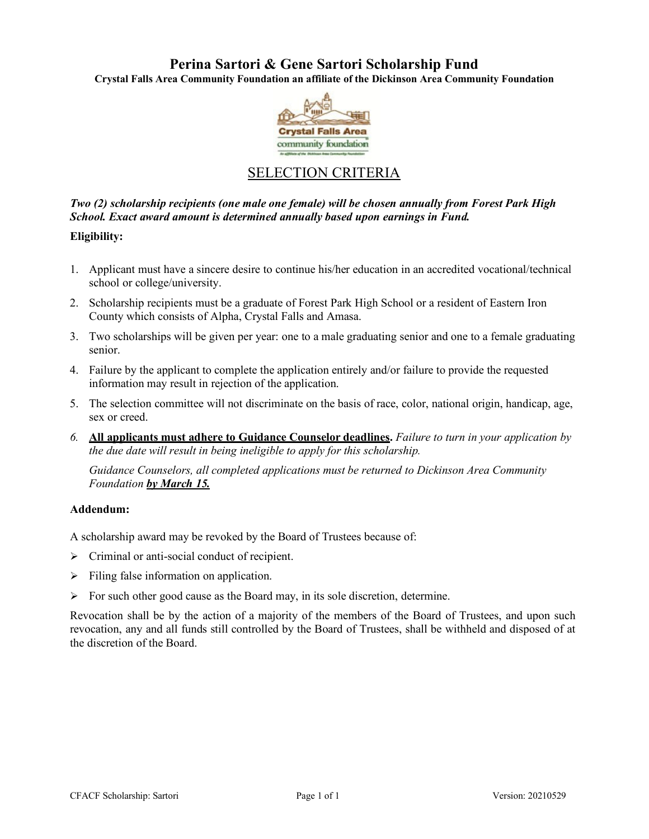# **Perina Sartori & Gene Sartori Scholarship Fund**

**Crystal Falls Area Community Foundation an affiliate of the Dickinson Area Community Foundation**



# SELECTION CRITERIA

### *Two (2) scholarship recipients (one male one female) will be chosen annually from Forest Park High School. Exact award amount is determined annually based upon earnings in Fund.*

#### **Eligibility:**

- 1. Applicant must have a sincere desire to continue his/her education in an accredited vocational/technical school or college/university.
- 2. Scholarship recipients must be a graduate of Forest Park High School or a resident of Eastern Iron County which consists of Alpha, Crystal Falls and Amasa.
- 3. Two scholarships will be given per year: one to a male graduating senior and one to a female graduating senior.
- 4. Failure by the applicant to complete the application entirely and/or failure to provide the requested information may result in rejection of the application.
- 5. The selection committee will not discriminate on the basis of race, color, national origin, handicap, age, sex or creed.
- *6.* **All applicants must adhere to Guidance Counselor deadlines.** *Failure to turn in your application by the due date will result in being ineligible to apply for this scholarship.*

*Guidance Counselors, all completed applications must be returned to Dickinson Area Community Foundation by March 15.*

#### **Addendum:**

A scholarship award may be revoked by the Board of Trustees because of:

- $\triangleright$  Criminal or anti-social conduct of recipient.
- Filing false information on application.
- $\triangleright$  For such other good cause as the Board may, in its sole discretion, determine.

Revocation shall be by the action of a majority of the members of the Board of Trustees, and upon such revocation, any and all funds still controlled by the Board of Trustees, shall be withheld and disposed of at the discretion of the Board.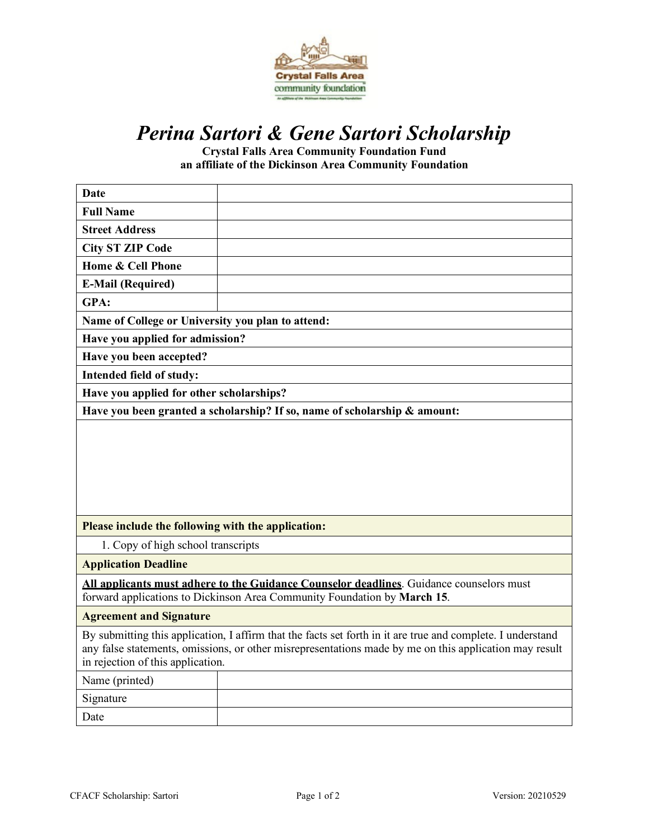

# *Perina Sartori & Gene Sartori Scholarship*

**Crystal Falls Area Community Foundation Fund an affiliate of the Dickinson Area Community Foundation**

| <b>Date</b>                                                                                                                                                                                                                                                |  |  |  |
|------------------------------------------------------------------------------------------------------------------------------------------------------------------------------------------------------------------------------------------------------------|--|--|--|
| <b>Full Name</b>                                                                                                                                                                                                                                           |  |  |  |
| <b>Street Address</b>                                                                                                                                                                                                                                      |  |  |  |
| <b>City ST ZIP Code</b>                                                                                                                                                                                                                                    |  |  |  |
| Home & Cell Phone                                                                                                                                                                                                                                          |  |  |  |
| <b>E-Mail (Required)</b>                                                                                                                                                                                                                                   |  |  |  |
| GPA:                                                                                                                                                                                                                                                       |  |  |  |
| Name of College or University you plan to attend:                                                                                                                                                                                                          |  |  |  |
| Have you applied for admission?                                                                                                                                                                                                                            |  |  |  |
| Have you been accepted?                                                                                                                                                                                                                                    |  |  |  |
| Intended field of study:                                                                                                                                                                                                                                   |  |  |  |
| Have you applied for other scholarships?                                                                                                                                                                                                                   |  |  |  |
| Have you been granted a scholarship? If so, name of scholarship & amount:                                                                                                                                                                                  |  |  |  |
|                                                                                                                                                                                                                                                            |  |  |  |
| Please include the following with the application:                                                                                                                                                                                                         |  |  |  |
| 1. Copy of high school transcripts                                                                                                                                                                                                                         |  |  |  |
| <b>Application Deadline</b>                                                                                                                                                                                                                                |  |  |  |
| All applicants must adhere to the Guidance Counselor deadlines. Guidance counselors must<br>forward applications to Dickinson Area Community Foundation by March 15.                                                                                       |  |  |  |
| <b>Agreement and Signature</b>                                                                                                                                                                                                                             |  |  |  |
| By submitting this application, I affirm that the facts set forth in it are true and complete. I understand<br>any false statements, omissions, or other misrepresentations made by me on this application may result<br>in rejection of this application. |  |  |  |
| Name (printed)                                                                                                                                                                                                                                             |  |  |  |
| Signature                                                                                                                                                                                                                                                  |  |  |  |
| Date                                                                                                                                                                                                                                                       |  |  |  |